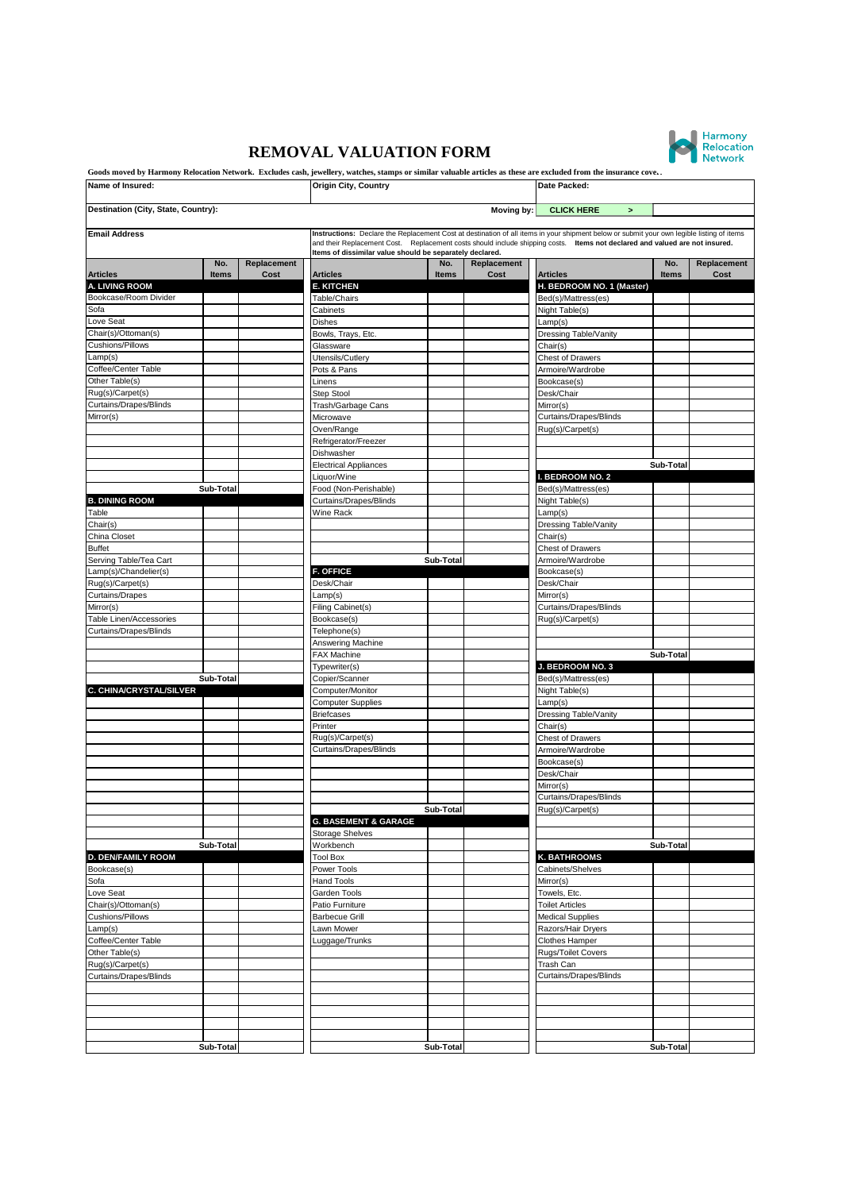## **REMOVAL VALUATION FORM**



|                                         |           |             | Goods moved by Harmony Relocation Network. Excludes cash, jewellery, watches, stamps or similar valuable articles as these are excluded from the insurance cove |              |             |                                                                                                                                           |           |             |
|-----------------------------------------|-----------|-------------|-----------------------------------------------------------------------------------------------------------------------------------------------------------------|--------------|-------------|-------------------------------------------------------------------------------------------------------------------------------------------|-----------|-------------|
| Name of Insured:                        |           |             | <b>Origin City, Country</b>                                                                                                                                     |              |             | Date Packed:                                                                                                                              |           |             |
| Destination (City, State, Country):     |           |             |                                                                                                                                                                 |              | Moving by:  | <b>CLICK HERE</b><br>$\,$                                                                                                                 |           |             |
| <b>Email Address</b>                    |           |             |                                                                                                                                                                 |              |             | Instructions: Declare the Replacement Cost at destination of all items in your shipment below or submit your own legible listing of items |           |             |
|                                         |           |             | Items of dissimilar value should be separately declared.                                                                                                        |              |             | and their Replacement Cost. Replacement costs should include shipping costs. Items not declared and valued are not insured.               |           |             |
|                                         | No.       | Replacement |                                                                                                                                                                 | No.          | Replacement |                                                                                                                                           | No.       | Replacement |
| <b>Articles</b>                         | Items     | Cost        | <b>Articles</b>                                                                                                                                                 | <b>Items</b> | Cost        | <b>Articles</b>                                                                                                                           | Items     | Cost        |
| A. LIVING ROOM<br>Bookcase/Room Divider |           |             | <b>E. KITCHEN</b><br>Table/Chairs                                                                                                                               |              |             | H. BEDROOM NO. 1 (Master)<br>Bed(s)/Mattress(es)                                                                                          |           |             |
| Sofa                                    |           |             | Cabinets                                                                                                                                                        |              |             | Night Table(s)                                                                                                                            |           |             |
| Love Seat                               |           |             | Dishes                                                                                                                                                          |              |             | Lamp(s)                                                                                                                                   |           |             |
| Chair(s)/Ottoman(s)                     |           |             | Bowls, Trays, Etc.                                                                                                                                              |              |             | Dressing Table/Vanity                                                                                                                     |           |             |
| Cushions/Pillows                        |           |             | Glassware                                                                                                                                                       |              |             | Chair(s)                                                                                                                                  |           |             |
| Lamp(s)                                 |           |             | Utensils/Cutlery                                                                                                                                                |              |             | <b>Chest of Drawers</b>                                                                                                                   |           |             |
| Coffee/Center Table                     |           |             | Pots & Pans                                                                                                                                                     |              |             | Armoire/Wardrobe                                                                                                                          |           |             |
| Other Table(s)                          |           |             | Linens                                                                                                                                                          |              |             | Bookcase(s)                                                                                                                               |           |             |
| Rug(s)/Carpet(s)                        |           |             | Step Stool                                                                                                                                                      |              |             | Desk/Chair                                                                                                                                |           |             |
| Curtains/Drapes/Blinds                  |           |             | Trash/Garbage Cans                                                                                                                                              |              |             | Mirror(s)                                                                                                                                 |           |             |
| Mirror(s)                               |           |             | Microwave                                                                                                                                                       |              |             | Curtains/Drapes/Blinds                                                                                                                    |           |             |
|                                         |           |             | Oven/Range                                                                                                                                                      |              |             | Rug(s)/Carpet(s)                                                                                                                          |           |             |
|                                         |           |             | Refrigerator/Freezer<br>Dishwasher                                                                                                                              |              |             |                                                                                                                                           |           |             |
|                                         |           |             | <b>Electrical Appliances</b>                                                                                                                                    |              |             |                                                                                                                                           | Sub-Total |             |
|                                         |           |             | Liquor/Wine                                                                                                                                                     |              |             | I. BEDROOM NO. 2                                                                                                                          |           |             |
|                                         | Sub-Total |             | Food (Non-Perishable)                                                                                                                                           |              |             | Bed(s)/Mattress(es)                                                                                                                       |           |             |
| <b>B. DINING ROOM</b>                   |           |             | Curtains/Drapes/Blinds                                                                                                                                          |              |             | Night Table(s)                                                                                                                            |           |             |
| Table                                   |           |             | Wine Rack                                                                                                                                                       |              |             | Lamp(s)                                                                                                                                   |           |             |
| Chair(s)                                |           |             |                                                                                                                                                                 |              |             | Dressing Table/Vanity                                                                                                                     |           |             |
| China Closet                            |           |             |                                                                                                                                                                 |              |             | Chair(s)                                                                                                                                  |           |             |
| <b>Buffet</b>                           |           |             |                                                                                                                                                                 |              |             | <b>Chest of Drawers</b>                                                                                                                   |           |             |
| Serving Table/Tea Cart                  |           |             |                                                                                                                                                                 | Sub-Total    |             | Armoire/Wardrobe                                                                                                                          |           |             |
| Lamp(s)/Chandelier(s)                   |           |             | <b>F. OFFICE</b>                                                                                                                                                |              |             | Bookcase(s)                                                                                                                               |           |             |
| Rug(s)/Carpet(s)                        |           |             | Desk/Chair                                                                                                                                                      |              |             | Desk/Chair                                                                                                                                |           |             |
| <b>Curtains/Drapes</b>                  |           |             | Lamp(s)                                                                                                                                                         |              |             | Mirror(s)                                                                                                                                 |           |             |
| Mirror(s)                               |           |             | Filing Cabinet(s)                                                                                                                                               |              |             | Curtains/Drapes/Blinds                                                                                                                    |           |             |
| Table Linen/Accessories                 |           |             | Bookcase(s)                                                                                                                                                     |              |             | Rug(s)/Carpet(s)                                                                                                                          |           |             |
| Curtains/Drapes/Blinds                  |           |             | Telephone(s)<br>Answering Machine                                                                                                                               |              |             |                                                                                                                                           |           |             |
|                                         |           |             | <b>FAX Machine</b>                                                                                                                                              |              |             |                                                                                                                                           | Sub-Total |             |
|                                         |           |             | Typewriter(s)                                                                                                                                                   |              |             | J. BEDROOM NO. 3                                                                                                                          |           |             |
|                                         | Sub-Total |             | Copier/Scanner                                                                                                                                                  |              |             | Bed(s)/Mattress(es)                                                                                                                       |           |             |
| C. CHINA/CRYSTAL/SILVER                 |           |             | Computer/Monitor                                                                                                                                                |              |             | Night Table(s)                                                                                                                            |           |             |
|                                         |           |             | <b>Computer Supplies</b>                                                                                                                                        |              |             | Lamp(s)                                                                                                                                   |           |             |
|                                         |           |             | <b>Briefcases</b>                                                                                                                                               |              |             | Dressing Table/Vanity                                                                                                                     |           |             |
|                                         |           |             | Printer                                                                                                                                                         |              |             | Chair(s)                                                                                                                                  |           |             |
|                                         |           |             | Rug(s)/Carpet(s)                                                                                                                                                |              |             | <b>Chest of Drawers</b>                                                                                                                   |           |             |
|                                         |           |             | Curtains/Drapes/Blinds                                                                                                                                          |              |             | Armoire/Wardrobe                                                                                                                          |           |             |
|                                         |           |             |                                                                                                                                                                 |              |             | Bookcase(s)                                                                                                                               |           |             |
|                                         |           |             |                                                                                                                                                                 |              |             | Desk/Chair                                                                                                                                |           |             |
|                                         |           |             |                                                                                                                                                                 |              |             | Mirror(s)<br>Curtains/Drapes/Blinds                                                                                                       |           |             |
|                                         |           |             |                                                                                                                                                                 | Sub-Total    |             | Rug(s)/Carpet(s)                                                                                                                          |           |             |
|                                         |           |             | <b>G. BASEMENT &amp; GARAGE</b>                                                                                                                                 |              |             |                                                                                                                                           |           |             |
|                                         |           |             | <b>Storage Shelves</b>                                                                                                                                          |              |             |                                                                                                                                           |           |             |
|                                         | Sub-Total |             | Workbench                                                                                                                                                       |              |             |                                                                                                                                           | Sub-Total |             |
| <b>D. DEN/FAMILY ROOM</b>               |           |             | <b>Tool Box</b>                                                                                                                                                 |              |             | K. BATHROOMS                                                                                                                              |           |             |
| Bookcase(s)                             |           |             | Power Tools                                                                                                                                                     |              |             | Cabinets/Shelves                                                                                                                          |           |             |
| Sofa                                    |           |             | <b>Hand Tools</b>                                                                                                                                               |              |             | Mirror(s)                                                                                                                                 |           |             |
| Love Seat                               |           |             | Garden Tools                                                                                                                                                    |              |             | Towels, Etc.                                                                                                                              |           |             |
| Chair(s)/Ottoman(s)                     |           |             | Patio Furniture                                                                                                                                                 |              |             | <b>Toilet Articles</b>                                                                                                                    |           |             |
| Cushions/Pillows                        |           |             | <b>Barbecue Grill</b>                                                                                                                                           |              |             | <b>Medical Supplies</b>                                                                                                                   |           |             |
| Lamp(s)                                 |           |             | Lawn Mower                                                                                                                                                      |              |             | Razors/Hair Dryers                                                                                                                        |           |             |
| Coffee/Center Table                     |           |             | Luggage/Trunks                                                                                                                                                  |              |             | Clothes Hamper                                                                                                                            |           |             |
| Other Table(s)                          |           |             |                                                                                                                                                                 |              |             | Rugs/Toilet Covers                                                                                                                        |           |             |
| Rug(s)/Carpet(s)                        |           |             |                                                                                                                                                                 |              |             | Trash Can                                                                                                                                 |           |             |
| Curtains/Drapes/Blinds                  |           |             |                                                                                                                                                                 |              |             | Curtains/Drapes/Blinds                                                                                                                    |           |             |
|                                         |           |             |                                                                                                                                                                 |              |             |                                                                                                                                           |           |             |
|                                         |           |             |                                                                                                                                                                 |              |             |                                                                                                                                           |           |             |
|                                         |           |             |                                                                                                                                                                 |              |             |                                                                                                                                           |           |             |
|                                         |           |             |                                                                                                                                                                 |              |             |                                                                                                                                           |           |             |
|                                         | Sub-Total |             |                                                                                                                                                                 | Sub-Total    |             |                                                                                                                                           | Sub-Total |             |
|                                         |           |             |                                                                                                                                                                 |              |             |                                                                                                                                           |           |             |